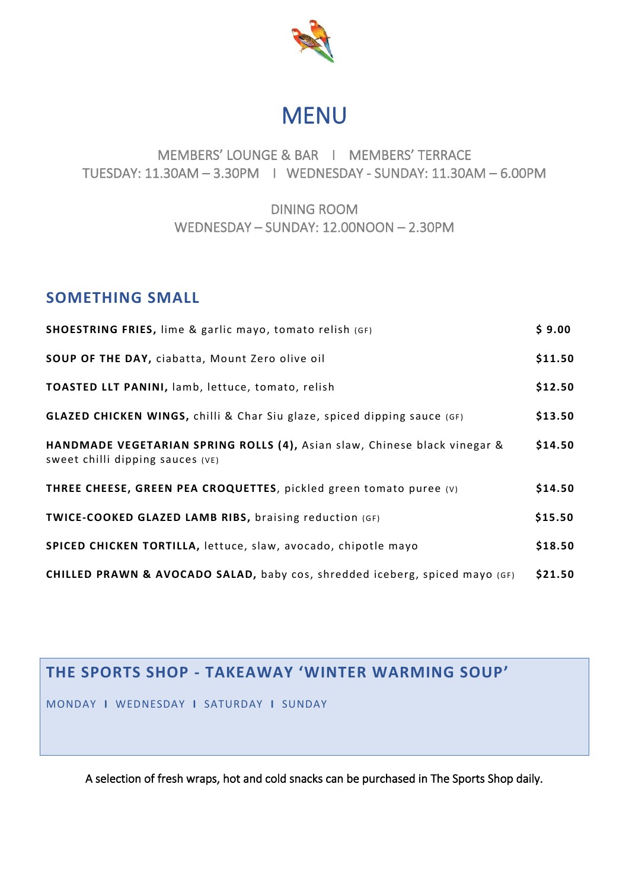

# MENU

#### MEMBERS' LOUNGE & BAR I MEMBERS' TERRACE TUESDAY: 11.30AM – 3.30PM I WEDNESDAY - SUNDAY: 11.30AM – 6.00PM

#### DINING ROOM WEDNESDAY – SUNDAY: 12.00NOON – 2.30PM

#### **SOMETHING SMALL**

| <b>SHOESTRING FRIES, lime &amp; garlic mayo, tomato relish (GF)</b>                                           | \$9.00  |
|---------------------------------------------------------------------------------------------------------------|---------|
| SOUP OF THE DAY, ciabatta, Mount Zero olive oil                                                               | \$11.50 |
| TOASTED LLT PANINI, lamb, lettuce, tomato, relish                                                             | \$12.50 |
| GLAZED CHICKEN WINGS, chilli & Char Siu glaze, spiced dipping sauce (GF)                                      | \$13.50 |
| HANDMADE VEGETARIAN SPRING ROLLS (4), Asian slaw, Chinese black vinegar &<br>Sweet chilli dipping sauces (VE) | \$14.50 |
| THREE CHEESE, GREEN PEA CROQUETTES, pickled green tomato puree (v)                                            | \$14.50 |
| <b>TWICE-COOKED GLAZED LAMB RIBS, braising reduction (GF)</b>                                                 | \$15.50 |
| SPICED CHICKEN TORTILLA, lettuce, slaw, avocado, chipotle mayo                                                | \$18.50 |
| CHILLED PRAWN & AVOCADO SALAD, baby cos, shredded iceberg, spiced mayo (GF)                                   | \$21.50 |

## **THE SPORTS SHOP - TAKEAWAY 'WINTER WARMING SOUP'**

MONDAY **I** WEDNESDAY **I** SATURDAY **I** SUNDAY

A selection of fresh wraps, hot and cold snacks can be purchased in The Sports Shop daily.